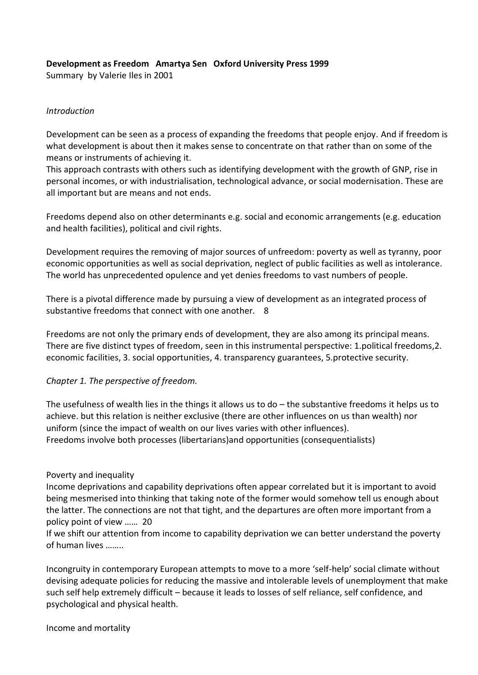## **Development as Freedom Amartya Sen Oxford University Press 1999**

Summary by Valerie Iles in 2001

#### *Introduction*

Development can be seen as a process of expanding the freedoms that people enjoy. And if freedom is what development is about then it makes sense to concentrate on that rather than on some of the means or instruments of achieving it.

This approach contrasts with others such as identifying development with the growth of GNP, rise in personal incomes, or with industrialisation, technological advance, or social modernisation. These are all important but are means and not ends.

Freedoms depend also on other determinants e.g. social and economic arrangements (e.g. education and health facilities), political and civil rights.

Development requires the removing of major sources of unfreedom: poverty as well as tyranny, poor economic opportunities as well as social deprivation, neglect of public facilities as well as intolerance. The world has unprecedented opulence and yet denies freedoms to vast numbers of people.

There is a pivotal difference made by pursuing a view of development as an integrated process of substantive freedoms that connect with one another. 8

Freedoms are not only the primary ends of development, they are also among its principal means. There are five distinct types of freedom, seen in this instrumental perspective: 1.political freedoms,2. economic facilities, 3. social opportunities, 4. transparency guarantees, 5.protective security.

### *Chapter 1. The perspective of freedom.*

The usefulness of wealth lies in the things it allows us to do – the substantive freedoms it helps us to achieve. but this relation is neither exclusive (there are other influences on us than wealth) nor uniform (since the impact of wealth on our lives varies with other influences). Freedoms involve both processes (libertarians)and opportunities (consequentialists)

### Poverty and inequality

Income deprivations and capability deprivations often appear correlated but it is important to avoid being mesmerised into thinking that taking note of the former would somehow tell us enough about the latter. The connections are not that tight, and the departures are often more important from a policy point of view …… 20

If we shift our attention from income to capability deprivation we can better understand the poverty of human lives ……..

Incongruity in contemporary European attempts to move to a more 'self-help' social climate without devising adequate policies for reducing the massive and intolerable levels of unemployment that make such self help extremely difficult – because it leads to losses of self reliance, self confidence, and psychological and physical health.

Income and mortality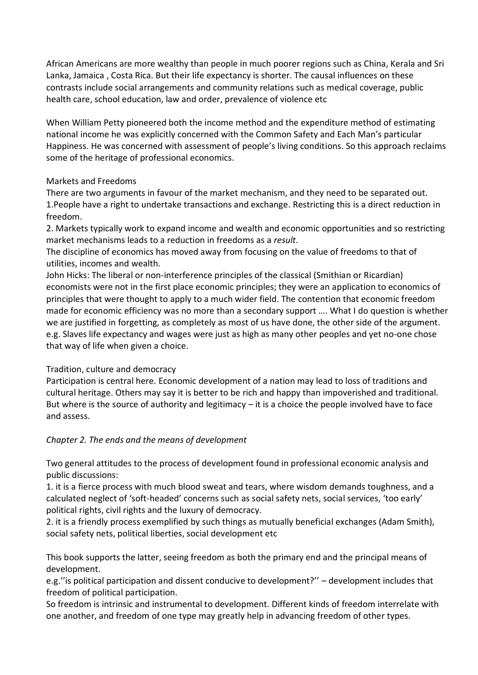African Americans are more wealthy than people in much poorer regions such as China, Kerala and Sri Lanka, Jamaica , Costa Rica. But their life expectancy is shorter. The causal influences on these contrasts include social arrangements and community relations such as medical coverage, public health care, school education, law and order, prevalence of violence etc

When William Petty pioneered both the income method and the expenditure method of estimating national income he was explicitly concerned with the Common Safety and Each Man's particular Happiness. He was concerned with assessment of people's living conditions. So this approach reclaims some of the heritage of professional economics.

## Markets and Freedoms

There are two arguments in favour of the market mechanism, and they need to be separated out. 1.People have a right to undertake transactions and exchange. Restricting this is a direct reduction in freedom.

2. Markets typically work to expand income and wealth and economic opportunities and so restricting market mechanisms leads to a reduction in freedoms as a *result*.

The discipline of economics has moved away from focusing on the value of freedoms to that of utilities, incomes and wealth.

John Hicks: The liberal or non-interference principles of the classical (Smithian or Ricardian) economists were not in the first place economic principles; they were an application to economics of principles that were thought to apply to a much wider field. The contention that economic freedom made for economic efficiency was no more than a secondary support …. What I do question is whether we are justified in forgetting, as completely as most of us have done, the other side of the argument. e.g. Slaves life expectancy and wages were just as high as many other peoples and yet no-one chose that way of life when given a choice.

# Tradition, culture and democracy

Participation is central here. Economic development of a nation may lead to loss of traditions and cultural heritage. Others may say it is better to be rich and happy than impoverished and traditional. But where is the source of authority and legitimacy – it is a choice the people involved have to face and assess.

# *Chapter 2. The ends and the means of development*

Two general attitudes to the process of development found in professional economic analysis and public discussions:

1. it is a fierce process with much blood sweat and tears, where wisdom demands toughness, and a calculated neglect of 'soft-headed' concerns such as social safety nets, social services, 'too early' political rights, civil rights and the luxury of democracy.

2. it is a friendly process exemplified by such things as mutually beneficial exchanges (Adam Smith), social safety nets, political liberties, social development etc

This book supports the latter, seeing freedom as both the primary end and the principal means of development.

e.g.''is political participation and dissent conducive to development?'' – development includes that freedom of political participation.

So freedom is intrinsic and instrumental to development. Different kinds of freedom interrelate with one another, and freedom of one type may greatly help in advancing freedom of other types.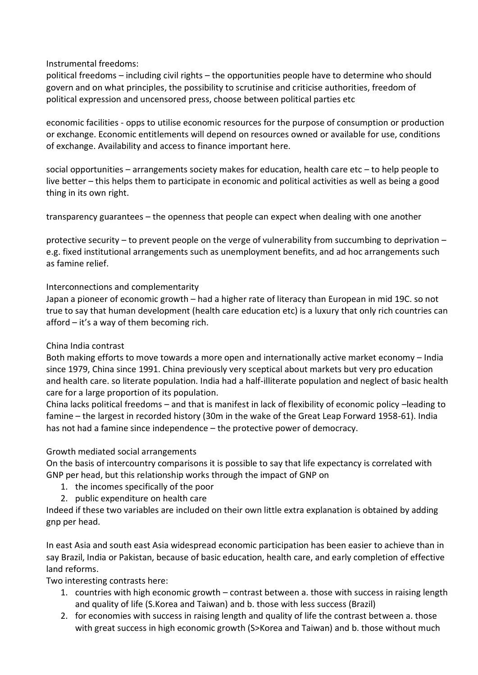### Instrumental freedoms:

political freedoms – including civil rights – the opportunities people have to determine who should govern and on what principles, the possibility to scrutinise and criticise authorities, freedom of political expression and uncensored press, choose between political parties etc

economic facilities - opps to utilise economic resources for the purpose of consumption or production or exchange. Economic entitlements will depend on resources owned or available for use, conditions of exchange. Availability and access to finance important here.

social opportunities – arrangements society makes for education, health care etc – to help people to live better – this helps them to participate in economic and political activities as well as being a good thing in its own right.

transparency guarantees – the openness that people can expect when dealing with one another

protective security – to prevent people on the verge of vulnerability from succumbing to deprivation – e.g. fixed institutional arrangements such as unemployment benefits, and ad hoc arrangements such as famine relief.

## Interconnections and complementarity

Japan a pioneer of economic growth – had a higher rate of literacy than European in mid 19C. so not true to say that human development (health care education etc) is a luxury that only rich countries can afford – it's a way of them becoming rich.

# China India contrast

Both making efforts to move towards a more open and internationally active market economy – India since 1979, China since 1991. China previously very sceptical about markets but very pro education and health care. so literate population. India had a half-illiterate population and neglect of basic health care for a large proportion of its population.

China lacks political freedoms – and that is manifest in lack of flexibility of economic policy –leading to famine – the largest in recorded history (30m in the wake of the Great Leap Forward 1958-61). India has not had a famine since independence – the protective power of democracy.

# Growth mediated social arrangements

On the basis of intercountry comparisons it is possible to say that life expectancy is correlated with GNP per head, but this relationship works through the impact of GNP on

- 1. the incomes specifically of the poor
- 2. public expenditure on health care

Indeed if these two variables are included on their own little extra explanation is obtained by adding gnp per head.

In east Asia and south east Asia widespread economic participation has been easier to achieve than in say Brazil, India or Pakistan, because of basic education, health care, and early completion of effective land reforms.

Two interesting contrasts here:

- 1. countries with high economic growth contrast between a. those with success in raising length and quality of life (S.Korea and Taiwan) and b. those with less success (Brazil)
- 2. for economies with success in raising length and quality of life the contrast between a. those with great success in high economic growth (S>Korea and Taiwan) and b. those without much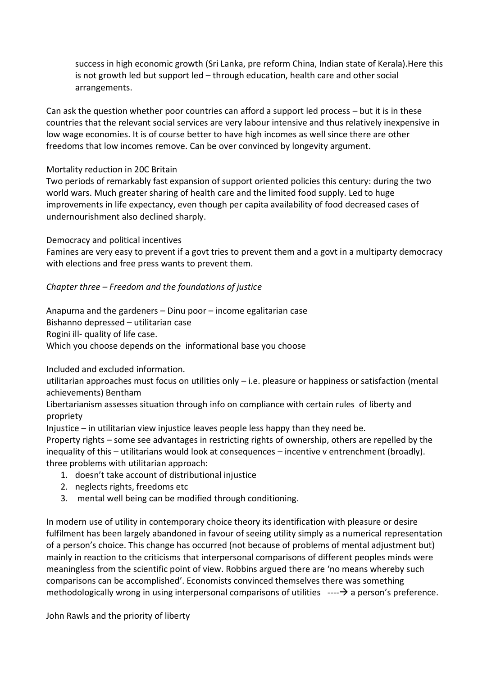success in high economic growth (Sri Lanka, pre reform China, Indian state of Kerala).Here this is not growth led but support led – through education, health care and other social arrangements.

Can ask the question whether poor countries can afford a support led process – but it is in these countries that the relevant social services are very labour intensive and thus relatively inexpensive in low wage economies. It is of course better to have high incomes as well since there are other freedoms that low incomes remove. Can be over convinced by longevity argument.

#### Mortality reduction in 20C Britain

Two periods of remarkably fast expansion of support oriented policies this century: during the two world wars. Much greater sharing of health care and the limited food supply. Led to huge improvements in life expectancy, even though per capita availability of food decreased cases of undernourishment also declined sharply.

Democracy and political incentives

Famines are very easy to prevent if a govt tries to prevent them and a govt in a multiparty democracy with elections and free press wants to prevent them.

#### *Chapter three – Freedom and the foundations of justice*

Anapurna and the gardeners – Dinu poor – income egalitarian case Bishanno depressed – utilitarian case Rogini ill- quality of life case. Which you choose depends on the informational base you choose

Included and excluded information.

utilitarian approaches must focus on utilities only – i.e. pleasure or happiness or satisfaction (mental achievements) Bentham

Libertarianism assesses situation through info on compliance with certain rules of liberty and propriety

Injustice – in utilitarian view injustice leaves people less happy than they need be.

Property rights – some see advantages in restricting rights of ownership, others are repelled by the inequality of this – utilitarians would look at consequences – incentive v entrenchment (broadly). three problems with utilitarian approach:

- 1. doesn't take account of distributional injustice
- 2. neglects rights, freedoms etc
- 3. mental well being can be modified through conditioning.

In modern use of utility in contemporary choice theory its identification with pleasure or desire fulfilment has been largely abandoned in favour of seeing utility simply as a numerical representation of a person's choice. This change has occurred (not because of problems of mental adjustment but) mainly in reaction to the criticisms that interpersonal comparisons of different peoples minds were meaningless from the scientific point of view. Robbins argued there are 'no means whereby such comparisons can be accomplished'. Economists convinced themselves there was something methodologically wrong in using interpersonal comparisons of utilities  $---\rightarrow$  a person's preference.

John Rawls and the priority of liberty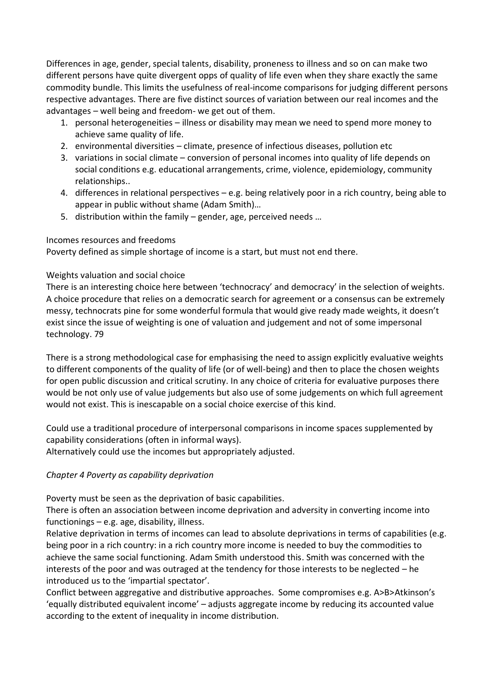Differences in age, gender, special talents, disability, proneness to illness and so on can make two different persons have quite divergent opps of quality of life even when they share exactly the same commodity bundle. This limits the usefulness of real-income comparisons for judging different persons respective advantages. There are five distinct sources of variation between our real incomes and the advantages – well being and freedom- we get out of them.

- 1. personal heterogeneities illness or disability may mean we need to spend more money to achieve same quality of life.
- 2. environmental diversities climate, presence of infectious diseases, pollution etc
- 3. variations in social climate conversion of personal incomes into quality of life depends on social conditions e.g. educational arrangements, crime, violence, epidemiology, community relationships..
- 4. differences in relational perspectives e.g. being relatively poor in a rich country, being able to appear in public without shame (Adam Smith)…
- 5. distribution within the family gender, age, perceived needs …

#### Incomes resources and freedoms

Poverty defined as simple shortage of income is a start, but must not end there.

### Weights valuation and social choice

There is an interesting choice here between 'technocracy' and democracy' in the selection of weights. A choice procedure that relies on a democratic search for agreement or a consensus can be extremely messy, technocrats pine for some wonderful formula that would give ready made weights, it doesn't exist since the issue of weighting is one of valuation and judgement and not of some impersonal technology. 79

There is a strong methodological case for emphasising the need to assign explicitly evaluative weights to different components of the quality of life (or of well-being) and then to place the chosen weights for open public discussion and critical scrutiny. In any choice of criteria for evaluative purposes there would be not only use of value judgements but also use of some judgements on which full agreement would not exist. This is inescapable on a social choice exercise of this kind.

Could use a traditional procedure of interpersonal comparisons in income spaces supplemented by capability considerations (often in informal ways). Alternatively could use the incomes but appropriately adjusted.

### *Chapter 4 Poverty as capability deprivation*

Poverty must be seen as the deprivation of basic capabilities.

There is often an association between income deprivation and adversity in converting income into functionings – e.g. age, disability, illness.

Relative deprivation in terms of incomes can lead to absolute deprivations in terms of capabilities (e.g. being poor in a rich country: in a rich country more income is needed to buy the commodities to achieve the same social functioning. Adam Smith understood this. Smith was concerned with the interests of the poor and was outraged at the tendency for those interests to be neglected – he introduced us to the 'impartial spectator'.

Conflict between aggregative and distributive approaches. Some compromises e.g. A>B>Atkinson's 'equally distributed equivalent income' – adjusts aggregate income by reducing its accounted value according to the extent of inequality in income distribution.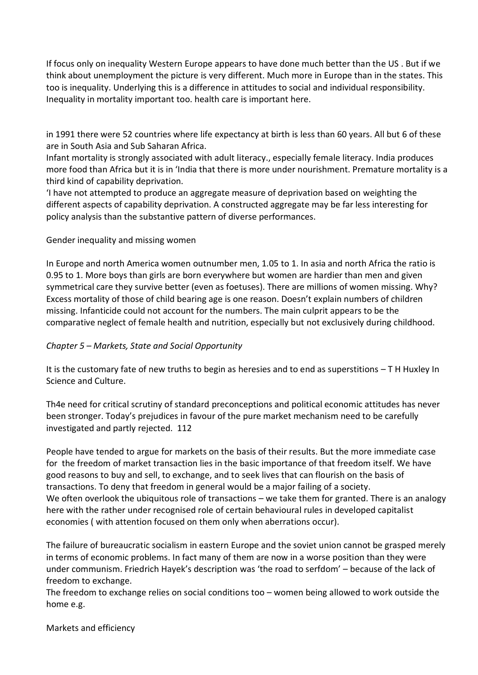If focus only on inequality Western Europe appears to have done much better than the US . But if we think about unemployment the picture is very different. Much more in Europe than in the states. This too is inequality. Underlying this is a difference in attitudes to social and individual responsibility. Inequality in mortality important too. health care is important here.

in 1991 there were 52 countries where life expectancy at birth is less than 60 years. All but 6 of these are in South Asia and Sub Saharan Africa.

Infant mortality is strongly associated with adult literacy., especially female literacy. India produces more food than Africa but it is in 'India that there is more under nourishment. Premature mortality is a third kind of capability deprivation.

'I have not attempted to produce an aggregate measure of deprivation based on weighting the different aspects of capability deprivation. A constructed aggregate may be far less interesting for policy analysis than the substantive pattern of diverse performances.

### Gender inequality and missing women

In Europe and north America women outnumber men, 1.05 to 1. In asia and north Africa the ratio is 0.95 to 1. More boys than girls are born everywhere but women are hardier than men and given symmetrical care they survive better (even as foetuses). There are millions of women missing. Why? Excess mortality of those of child bearing age is one reason. Doesn't explain numbers of children missing. Infanticide could not account for the numbers. The main culprit appears to be the comparative neglect of female health and nutrition, especially but not exclusively during childhood.

### *Chapter 5 – Markets, State and Social Opportunity*

It is the customary fate of new truths to begin as heresies and to end as superstitions – T H Huxley In Science and Culture.

Th4e need for critical scrutiny of standard preconceptions and political economic attitudes has never been stronger. Today's prejudices in favour of the pure market mechanism need to be carefully investigated and partly rejected. 112

People have tended to argue for markets on the basis of their results. But the more immediate case for the freedom of market transaction lies in the basic importance of that freedom itself. We have good reasons to buy and sell, to exchange, and to seek lives that can flourish on the basis of transactions. To deny that freedom in general would be a major failing of a society. We often overlook the ubiquitous role of transactions – we take them for granted. There is an analogy here with the rather under recognised role of certain behavioural rules in developed capitalist economies ( with attention focused on them only when aberrations occur).

The failure of bureaucratic socialism in eastern Europe and the soviet union cannot be grasped merely in terms of economic problems. In fact many of them are now in a worse position than they were under communism. Friedrich Hayek's description was 'the road to serfdom' – because of the lack of freedom to exchange.

The freedom to exchange relies on social conditions too – women being allowed to work outside the home e.g.

Markets and efficiency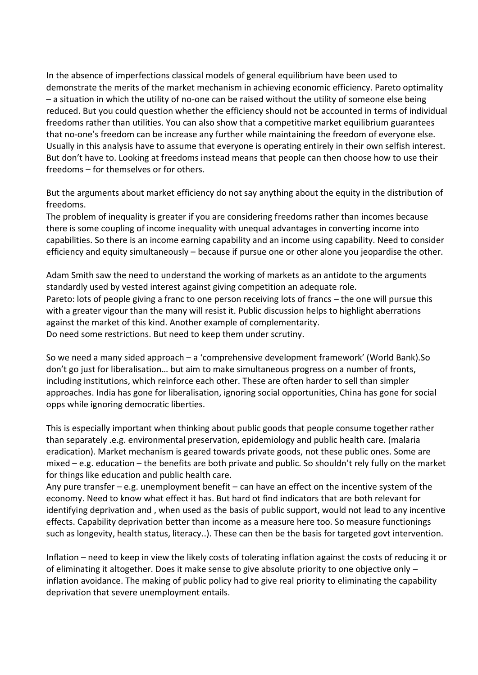In the absence of imperfections classical models of general equilibrium have been used to demonstrate the merits of the market mechanism in achieving economic efficiency. Pareto optimality – a situation in which the utility of no-one can be raised without the utility of someone else being reduced. But you could question whether the efficiency should not be accounted in terms of individual freedoms rather than utilities. You can also show that a competitive market equilibrium guarantees that no-one's freedom can be increase any further while maintaining the freedom of everyone else. Usually in this analysis have to assume that everyone is operating entirely in their own selfish interest. But don't have to. Looking at freedoms instead means that people can then choose how to use their freedoms – for themselves or for others.

But the arguments about market efficiency do not say anything about the equity in the distribution of freedoms.

The problem of inequality is greater if you are considering freedoms rather than incomes because there is some coupling of income inequality with unequal advantages in converting income into capabilities. So there is an income earning capability and an income using capability. Need to consider efficiency and equity simultaneously – because if pursue one or other alone you jeopardise the other.

Adam Smith saw the need to understand the working of markets as an antidote to the arguments standardly used by vested interest against giving competition an adequate role. Pareto: lots of people giving a franc to one person receiving lots of francs – the one will pursue this with a greater vigour than the many will resist it. Public discussion helps to highlight aberrations against the market of this kind. Another example of complementarity. Do need some restrictions. But need to keep them under scrutiny.

So we need a many sided approach – a 'comprehensive development framework' (World Bank).So don't go just for liberalisation… but aim to make simultaneous progress on a number of fronts, including institutions, which reinforce each other. These are often harder to sell than simpler approaches. India has gone for liberalisation, ignoring social opportunities, China has gone for social opps while ignoring democratic liberties.

This is especially important when thinking about public goods that people consume together rather than separately .e.g. environmental preservation, epidemiology and public health care. (malaria eradication). Market mechanism is geared towards private goods, not these public ones. Some are mixed – e.g. education – the benefits are both private and public. So shouldn't rely fully on the market for things like education and public health care.

Any pure transfer – e.g. unemployment benefit – can have an effect on the incentive system of the economy. Need to know what effect it has. But hard ot find indicators that are both relevant for identifying deprivation and , when used as the basis of public support, would not lead to any incentive effects. Capability deprivation better than income as a measure here too. So measure functionings such as longevity, health status, literacy..). These can then be the basis for targeted govt intervention.

Inflation – need to keep in view the likely costs of tolerating inflation against the costs of reducing it or of eliminating it altogether. Does it make sense to give absolute priority to one objective only – inflation avoidance. The making of public policy had to give real priority to eliminating the capability deprivation that severe unemployment entails.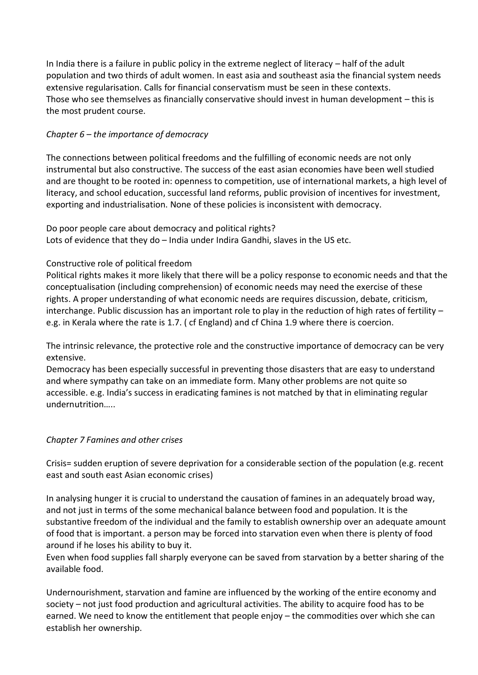In India there is a failure in public policy in the extreme neglect of literacy – half of the adult population and two thirds of adult women. In east asia and southeast asia the financial system needs extensive regularisation. Calls for financial conservatism must be seen in these contexts. Those who see themselves as financially conservative should invest in human development – this is the most prudent course.

# *Chapter 6 – the importance of democracy*

The connections between political freedoms and the fulfilling of economic needs are not only instrumental but also constructive. The success of the east asian economies have been well studied and are thought to be rooted in: openness to competition, use of international markets, a high level of literacy, and school education, successful land reforms, public provision of incentives for investment, exporting and industrialisation. None of these policies is inconsistent with democracy.

Do poor people care about democracy and political rights? Lots of evidence that they do - India under Indira Gandhi, slaves in the US etc.

## Constructive role of political freedom

Political rights makes it more likely that there will be a policy response to economic needs and that the conceptualisation (including comprehension) of economic needs may need the exercise of these rights. A proper understanding of what economic needs are requires discussion, debate, criticism, interchange. Public discussion has an important role to play in the reduction of high rates of fertility – e.g. in Kerala where the rate is 1.7. ( cf England) and cf China 1.9 where there is coercion.

The intrinsic relevance, the protective role and the constructive importance of democracy can be very extensive.

Democracy has been especially successful in preventing those disasters that are easy to understand and where sympathy can take on an immediate form. Many other problems are not quite so accessible. e.g. India's success in eradicating famines is not matched by that in eliminating regular undernutrition…..

### *Chapter 7 Famines and other crises*

Crisis= sudden eruption of severe deprivation for a considerable section of the population (e.g. recent east and south east Asian economic crises)

In analysing hunger it is crucial to understand the causation of famines in an adequately broad way, and not just in terms of the some mechanical balance between food and population. It is the substantive freedom of the individual and the family to establish ownership over an adequate amount of food that is important. a person may be forced into starvation even when there is plenty of food around if he loses his ability to buy it.

Even when food supplies fall sharply everyone can be saved from starvation by a better sharing of the available food.

Undernourishment, starvation and famine are influenced by the working of the entire economy and society – not just food production and agricultural activities. The ability to acquire food has to be earned. We need to know the entitlement that people enjoy – the commodities over which she can establish her ownership.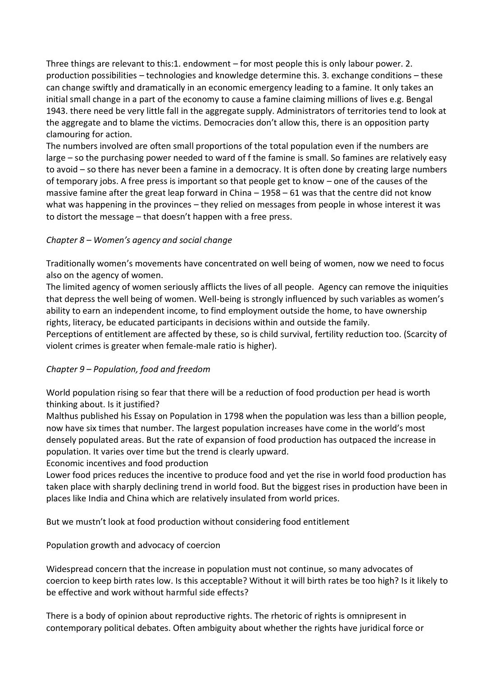Three things are relevant to this:1. endowment – for most people this is only labour power. 2. production possibilities – technologies and knowledge determine this. 3. exchange conditions – these can change swiftly and dramatically in an economic emergency leading to a famine. It only takes an initial small change in a part of the economy to cause a famine claiming millions of lives e.g. Bengal 1943. there need be very little fall in the aggregate supply. Administrators of territories tend to look at the aggregate and to blame the victims. Democracies don't allow this, there is an opposition party clamouring for action.

The numbers involved are often small proportions of the total population even if the numbers are large – so the purchasing power needed to ward of f the famine is small. So famines are relatively easy to avoid – so there has never been a famine in a democracy. It is often done by creating large numbers of temporary jobs. A free press is important so that people get to know – one of the causes of the massive famine after the great leap forward in China  $-1958 - 61$  was that the centre did not know what was happening in the provinces – they relied on messages from people in whose interest it was to distort the message – that doesn't happen with a free press.

## *Chapter 8 – Women's agency and social change*

Traditionally women's movements have concentrated on well being of women, now we need to focus also on the agency of women.

The limited agency of women seriously afflicts the lives of all people. Agency can remove the iniquities that depress the well being of women. Well-being is strongly influenced by such variables as women's ability to earn an independent income, to find employment outside the home, to have ownership rights, literacy, be educated participants in decisions within and outside the family.

Perceptions of entitlement are affected by these, so is child survival, fertility reduction too. (Scarcity of violent crimes is greater when female-male ratio is higher).

# *Chapter 9 – Population, food and freedom*

World population rising so fear that there will be a reduction of food production per head is worth thinking about. Is it justified?

Malthus published his Essay on Population in 1798 when the population was less than a billion people, now have six times that number. The largest population increases have come in the world's most densely populated areas. But the rate of expansion of food production has outpaced the increase in population. It varies over time but the trend is clearly upward.

### Economic incentives and food production

Lower food prices reduces the incentive to produce food and yet the rise in world food production has taken place with sharply declining trend in world food. But the biggest rises in production have been in places like India and China which are relatively insulated from world prices.

But we mustn't look at food production without considering food entitlement

Population growth and advocacy of coercion

Widespread concern that the increase in population must not continue, so many advocates of coercion to keep birth rates low. Is this acceptable? Without it will birth rates be too high? Is it likely to be effective and work without harmful side effects?

There is a body of opinion about reproductive rights. The rhetoric of rights is omnipresent in contemporary political debates. Often ambiguity about whether the rights have juridical force or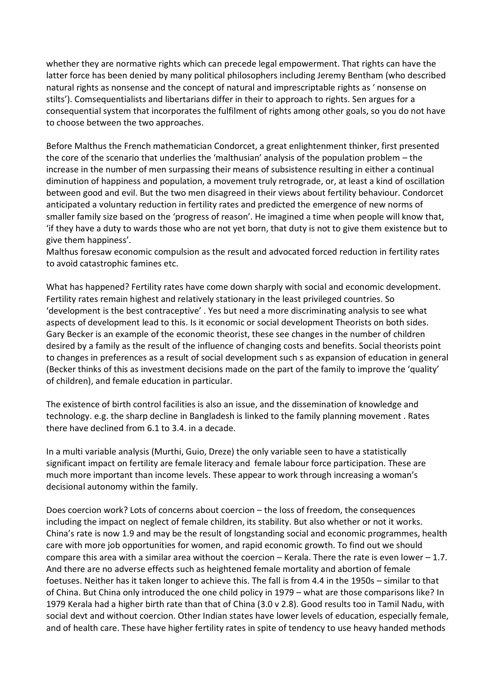whether they are normative rights which can precede legal empowerment. That rights can have the latter force has been denied by many political philosophers including Jeremy Bentham (who described natural rights as nonsense and the concept of natural and imprescriptable rights as ' nonsense on stilts'). Comsequentialists and libertarians differ in their to approach to rights. Sen argues for a consequential system that incorporates the fulfilment of rights among other goals, so you do not have to choose between the two approaches.

Before Malthus the French mathematician Condorcet, a great enlightenment thinker, first presented the core of the scenario that underlies the 'malthusian' analysis of the population problem – the increase in the number of men surpassing their means of subsistence resulting in either a continual diminution of happiness and population, a movement truly retrograde, or, at least a kind of oscillation between good and evil. But the two men disagreed in their views about fertility behaviour. Condorcet anticipated a voluntary reduction in fertility rates and predicted the emergence of new norms of smaller family size based on the 'progress of reason'. He imagined a time when people will know that, 'if they have a duty to wards those who are not yet born, that duty is not to give them existence but to give them happiness'.

Malthus foresaw economic compulsion as the result and advocated forced reduction in fertility rates to avoid catastrophic famines etc.

What has happened? Fertility rates have come down sharply with social and economic development. Fertility rates remain highest and relatively stationary in the least privileged countries. So 'development is the best contraceptive' . Yes but need a more discriminating analysis to see what aspects of development lead to this. Is it economic or social development Theorists on both sides. Gary Becker is an example of the economic theorist, these see changes in the number of children desired by a family as the result of the influence of changing costs and benefits. Social theorists point to changes in preferences as a result of social development such s as expansion of education in general (Becker thinks of this as investment decisions made on the part of the family to improve the 'quality' of children), and female education in particular.

The existence of birth control facilities is also an issue, and the dissemination of knowledge and technology. e.g. the sharp decline in Bangladesh is linked to the family planning movement . Rates there have declined from 6.1 to 3.4. in a decade.

In a multi variable analysis (Murthi, Guio, Dreze) the only variable seen to have a statistically significant impact on fertility are female literacy and female labour force participation. These are much more important than income levels. These appear to work through increasing a woman's decisional autonomy within the family.

Does coercion work? Lots of concerns about coercion – the loss of freedom, the consequences including the impact on neglect of female children, its stability. But also whether or not it works. China's rate is now 1.9 and may be the result of longstanding social and economic programmes, health care with more job opportunities for women, and rapid economic growth. To find out we should compare this area with a similar area without the coercion  $-$  Kerala. There the rate is even lower  $-1.7$ . And there are no adverse effects such as heightened female mortality and abortion of female foetuses. Neither has it taken longer to achieve this. The fall is from 4.4 in the 1950s – similar to that of China. But China only introduced the one child policy in 1979 – what are those comparisons like? In 1979 Kerala had a higher birth rate than that of China (3.0 v 2.8). Good results too in Tamil Nadu, with social devt and without coercion. Other Indian states have lower levels of education, especially female, and of health care. These have higher fertility rates in spite of tendency to use heavy handed methods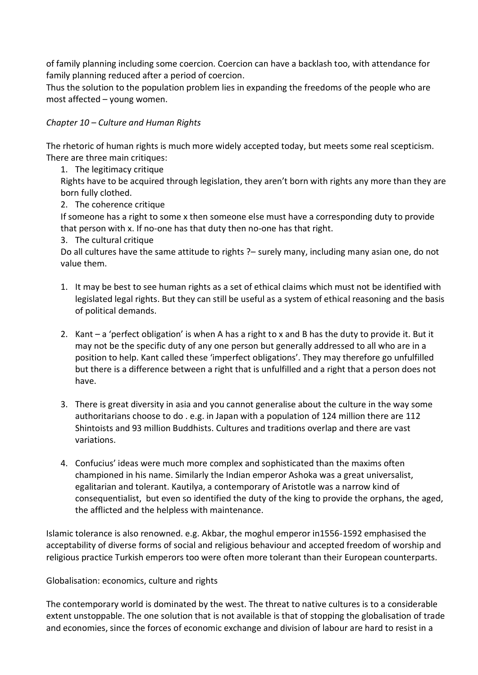of family planning including some coercion. Coercion can have a backlash too, with attendance for family planning reduced after a period of coercion.

Thus the solution to the population problem lies in expanding the freedoms of the people who are most affected – young women.

### *Chapter 10 – Culture and Human Rights*

The rhetoric of human rights is much more widely accepted today, but meets some real scepticism. There are three main critiques:

1. The legitimacy critique

Rights have to be acquired through legislation, they aren't born with rights any more than they are born fully clothed.

2. The coherence critique

If someone has a right to some x then someone else must have a corresponding duty to provide that person with x. If no-one has that duty then no-one has that right.

3. The cultural critique

Do all cultures have the same attitude to rights ?– surely many, including many asian one, do not value them.

- 1. It may be best to see human rights as a set of ethical claims which must not be identified with legislated legal rights. But they can still be useful as a system of ethical reasoning and the basis of political demands.
- 2. Kant a 'perfect obligation' is when A has a right to x and B has the duty to provide it. But it may not be the specific duty of any one person but generally addressed to all who are in a position to help. Kant called these 'imperfect obligations'. They may therefore go unfulfilled but there is a difference between a right that is unfulfilled and a right that a person does not have.
- 3. There is great diversity in asia and you cannot generalise about the culture in the way some authoritarians choose to do . e.g. in Japan with a population of 124 million there are 112 Shintoists and 93 million Buddhists. Cultures and traditions overlap and there are vast variations.
- 4. Confucius' ideas were much more complex and sophisticated than the maxims often championed in his name. Similarly the Indian emperor Ashoka was a great universalist, egalitarian and tolerant. Kautilya, a contemporary of Aristotle was a narrow kind of consequentialist, but even so identified the duty of the king to provide the orphans, the aged, the afflicted and the helpless with maintenance.

Islamic tolerance is also renowned. e.g. Akbar, the moghul emperor in1556-1592 emphasised the acceptability of diverse forms of social and religious behaviour and accepted freedom of worship and religious practice Turkish emperors too were often more tolerant than their European counterparts.

Globalisation: economics, culture and rights

The contemporary world is dominated by the west. The threat to native cultures is to a considerable extent unstoppable. The one solution that is not available is that of stopping the globalisation of trade and economies, since the forces of economic exchange and division of labour are hard to resist in a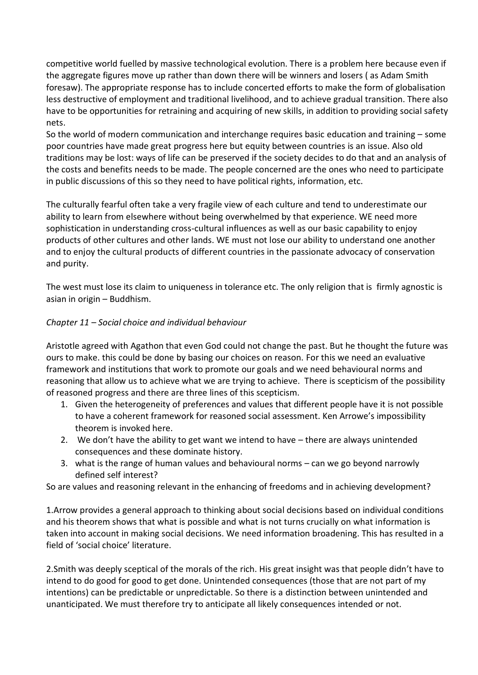competitive world fuelled by massive technological evolution. There is a problem here because even if the aggregate figures move up rather than down there will be winners and losers ( as Adam Smith foresaw). The appropriate response has to include concerted efforts to make the form of globalisation less destructive of employment and traditional livelihood, and to achieve gradual transition. There also have to be opportunities for retraining and acquiring of new skills, in addition to providing social safety nets.

So the world of modern communication and interchange requires basic education and training – some poor countries have made great progress here but equity between countries is an issue. Also old traditions may be lost: ways of life can be preserved if the society decides to do that and an analysis of the costs and benefits needs to be made. The people concerned are the ones who need to participate in public discussions of this so they need to have political rights, information, etc.

The culturally fearful often take a very fragile view of each culture and tend to underestimate our ability to learn from elsewhere without being overwhelmed by that experience. WE need more sophistication in understanding cross-cultural influences as well as our basic capability to enjoy products of other cultures and other lands. WE must not lose our ability to understand one another and to enjoy the cultural products of different countries in the passionate advocacy of conservation and purity.

The west must lose its claim to uniqueness in tolerance etc. The only religion that is firmly agnostic is asian in origin – Buddhism.

## *Chapter 11 – Social choice and individual behaviour*

Aristotle agreed with Agathon that even God could not change the past. But he thought the future was ours to make. this could be done by basing our choices on reason. For this we need an evaluative framework and institutions that work to promote our goals and we need behavioural norms and reasoning that allow us to achieve what we are trying to achieve. There is scepticism of the possibility of reasoned progress and there are three lines of this scepticism.

- 1. Given the heterogeneity of preferences and values that different people have it is not possible to have a coherent framework for reasoned social assessment. Ken Arrowe's impossibility theorem is invoked here.
- 2. We don't have the ability to get want we intend to have there are always unintended consequences and these dominate history.
- 3. what is the range of human values and behavioural norms can we go beyond narrowly defined self interest?

So are values and reasoning relevant in the enhancing of freedoms and in achieving development?

1.Arrow provides a general approach to thinking about social decisions based on individual conditions and his theorem shows that what is possible and what is not turns crucially on what information is taken into account in making social decisions. We need information broadening. This has resulted in a field of 'social choice' literature.

2.Smith was deeply sceptical of the morals of the rich. His great insight was that people didn't have to intend to do good for good to get done. Unintended consequences (those that are not part of my intentions) can be predictable or unpredictable. So there is a distinction between unintended and unanticipated. We must therefore try to anticipate all likely consequences intended or not.